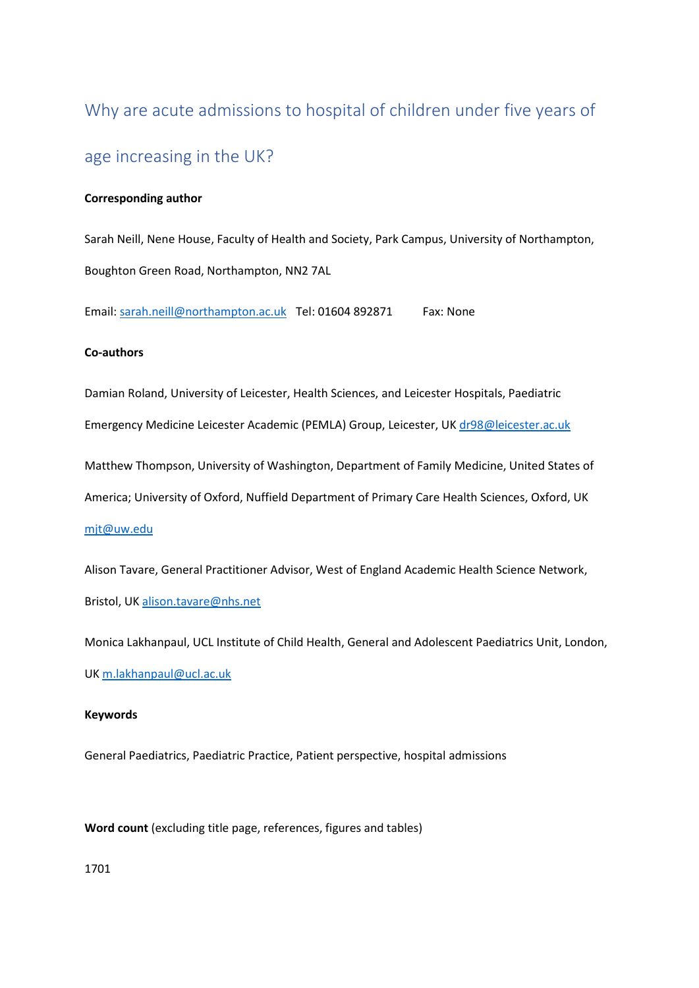# Why are acute admissions to hospital of children under five years of age increasing in the UK?

## **Corresponding author**

Sarah Neill, Nene House, Faculty of Health and Society, Park Campus, University of Northampton, Boughton Green Road, Northampton, NN2 7AL

Email: [sarah.neill@northampton.ac.uk](mailto:sarah.neill@northampton.ac.uk) Tel: 01604 892871 Fax: None

#### **Co-authors**

Damian Roland, University of Leicester, Health Sciences, and Leicester Hospitals, Paediatric

Emergency Medicine Leicester Academic (PEMLA) Group, Leicester, UK [dr98@leicester.ac.uk](mailto:dr98@leicester.ac.uk)

Matthew Thompson, University of Washington, Department of Family Medicine, United States of

America; University of Oxford, Nuffield Department of Primary Care Health Sciences, Oxford, UK

[mjt@uw.edu](mailto:mjt@uw.edu)

Alison Tavare, General Practitioner Advisor, West of England Academic Health Science Network, Bristol, UK [alison.tavare@nhs.net](mailto:alison.tavare@nhs.net)

Monica Lakhanpaul, UCL Institute of Child Health, General and Adolescent Paediatrics Unit, London, UK [m.lakhanpaul@ucl.ac.uk](mailto:m.lakhanpaul@ucl.ac.uk)

#### **Keywords**

General Paediatrics, Paediatric Practice, Patient perspective, hospital admissions

## **Word count** (excluding title page, references, figures and tables)

1701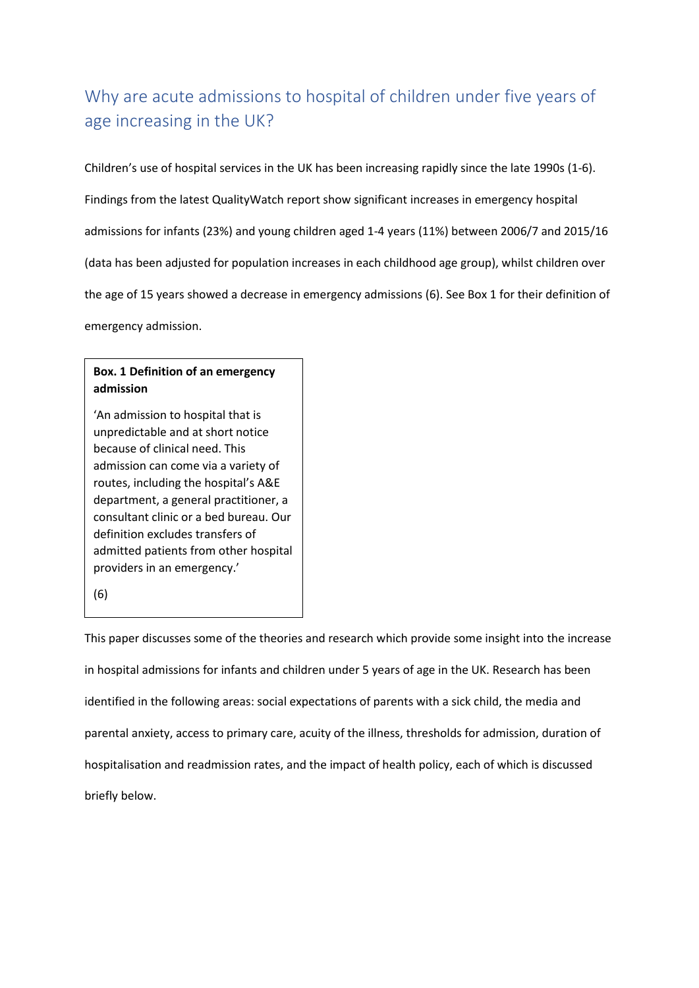# Why are acute admissions to hospital of children under five years of age increasing in the UK?

Children's use of hospital services in the UK has been increasing rapidly since the late 1990s (1-6). Findings from the latest QualityWatch report show significant increases in emergency hospital admissions for infants (23%) and young children aged 1-4 years (11%) between 2006/7 and 2015/16 (data has been adjusted for population increases in each childhood age group), whilst children over the age of 15 years showed a decrease in emergency admissions (6). See Box 1 for their definition of emergency admission.

# **Box. 1 Definition of an emergency admission**

'An admission to hospital that is unpredictable and at short notice because of clinical need. This admission can come via a variety of routes, including the hospital's A&E department, a general practitioner, a consultant clinic or a bed bureau. Our definition excludes transfers of admitted patients from other hospital providers in an emergency.'

(6)

This paper discusses some of the theories and research which provide some insight into the increase in hospital admissions for infants and children under 5 years of age in the UK. Research has been identified in the following areas: social expectations of parents with a sick child, the media and parental anxiety, access to primary care, acuity of the illness, thresholds for admission, duration of hospitalisation and readmission rates, and the impact of health policy, each of which is discussed briefly below.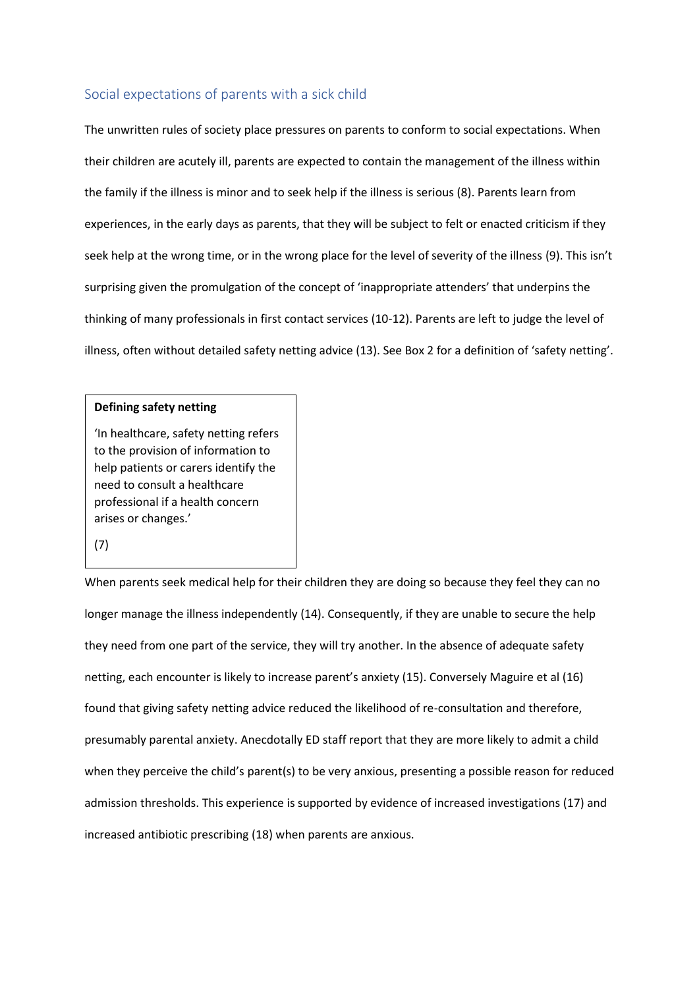# Social expectations of parents with a sick child

The unwritten rules of society place pressures on parents to conform to social expectations. When their children are acutely ill, parents are expected to contain the management of the illness within the family if the illness is minor and to seek help if the illness is serious (8). Parents learn from experiences, in the early days as parents, that they will be subject to felt or enacted criticism if they seek help at the wrong time, or in the wrong place for the level of severity of the illness (9). This isn't surprising given the promulgation of the concept of 'inappropriate attenders' that underpins the thinking of many professionals in first contact services (10-12). Parents are left to judge the level of illness, often without detailed safety netting advice (13). See Box 2 for a definition of 'safety netting'.

#### **Defining safety netting**

'In healthcare, safety netting refers to the provision of information to help patients or carers identify the need to consult a healthcare professional if a health concern arises or changes.'

(7)

When parents seek medical help for their children they are doing so because they feel they can no longer manage the illness independently (14). Consequently, if they are unable to secure the help they need from one part of the service, they will try another. In the absence of adequate safety netting, each encounter is likely to increase parent's anxiety (15). Conversely Maguire et al (16) found that giving safety netting advice reduced the likelihood of re-consultation and therefore, presumably parental anxiety. Anecdotally ED staff report that they are more likely to admit a child when they perceive the child's parent(s) to be very anxious, presenting a possible reason for reduced admission thresholds. This experience is supported by evidence of increased investigations (17) and increased antibiotic prescribing (18) when parents are anxious.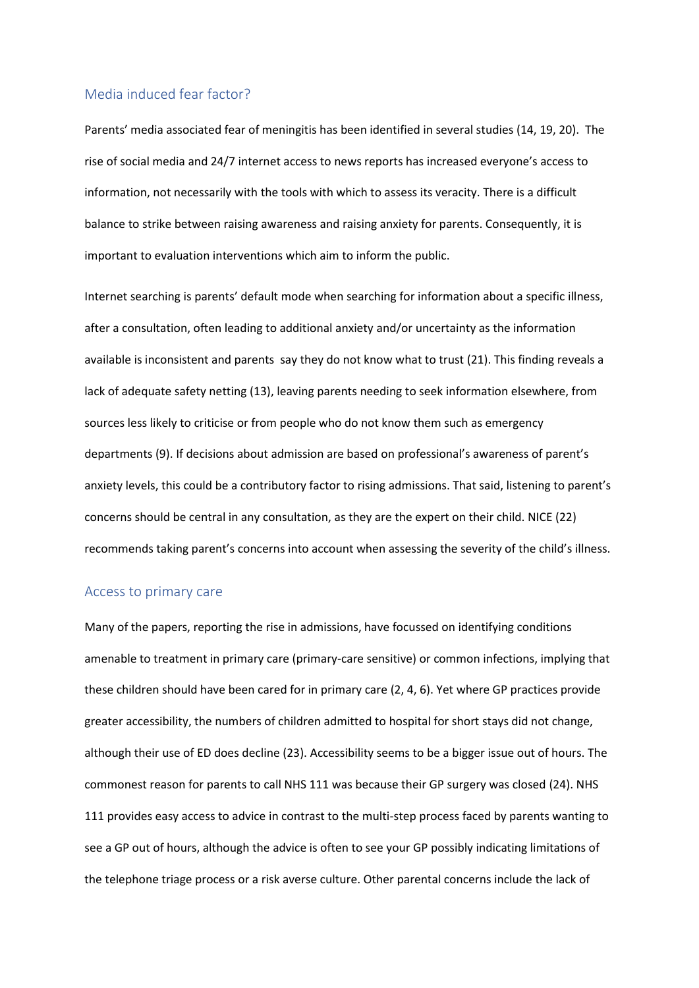#### Media induced fear factor?

Parents' media associated fear of meningitis has been identified in several studies (14, 19, 20). The rise of social media and 24/7 internet access to news reports has increased everyone's access to information, not necessarily with the tools with which to assess its veracity. There is a difficult balance to strike between raising awareness and raising anxiety for parents. Consequently, it is important to evaluation interventions which aim to inform the public.

Internet searching is parents' default mode when searching for information about a specific illness, after a consultation, often leading to additional anxiety and/or uncertainty as the information available is inconsistent and parents say they do not know what to trust (21). This finding reveals a lack of adequate safety netting (13), leaving parents needing to seek information elsewhere, from sources less likely to criticise or from people who do not know them such as emergency departments (9). If decisions about admission are based on professional's awareness of parent's anxiety levels, this could be a contributory factor to rising admissions. That said, listening to parent's concerns should be central in any consultation, as they are the expert on their child. NICE (22) recommends taking parent's concerns into account when assessing the severity of the child's illness.

#### Access to primary care

Many of the papers, reporting the rise in admissions, have focussed on identifying conditions amenable to treatment in primary care (primary-care sensitive) or common infections, implying that these children should have been cared for in primary care (2, 4, 6). Yet where GP practices provide greater accessibility, the numbers of children admitted to hospital for short stays did not change, although their use of ED does decline (23). Accessibility seems to be a bigger issue out of hours. The commonest reason for parents to call NHS 111 was because their GP surgery was closed (24). NHS 111 provides easy access to advice in contrast to the multi-step process faced by parents wanting to see a GP out of hours, although the advice is often to see your GP possibly indicating limitations of the telephone triage process or a risk averse culture. Other parental concerns include the lack of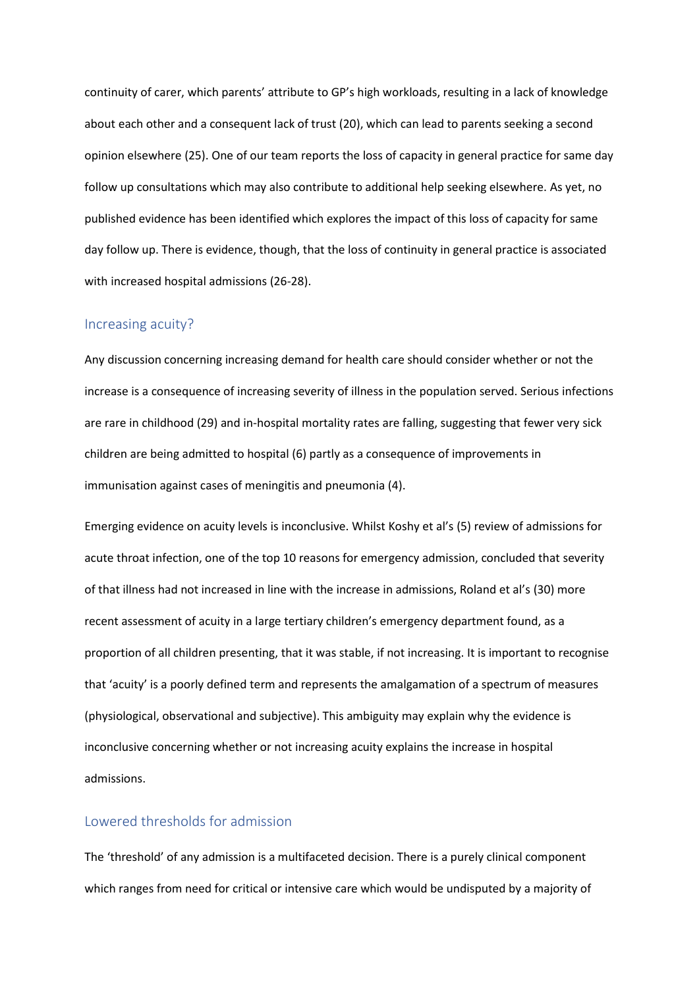continuity of carer, which parents' attribute to GP's high workloads, resulting in a lack of knowledge about each other and a consequent lack of trust (20), which can lead to parents seeking a second opinion elsewhere (25). One of our team reports the loss of capacity in general practice for same day follow up consultations which may also contribute to additional help seeking elsewhere. As yet, no published evidence has been identified which explores the impact of this loss of capacity for same day follow up. There is evidence, though, that the loss of continuity in general practice is associated with increased hospital admissions (26-28).

#### Increasing acuity?

Any discussion concerning increasing demand for health care should consider whether or not the increase is a consequence of increasing severity of illness in the population served. Serious infections are rare in childhood (29) and in-hospital mortality rates are falling, suggesting that fewer very sick children are being admitted to hospital (6) partly as a consequence of improvements in immunisation against cases of meningitis and pneumonia (4).

Emerging evidence on acuity levels is inconclusive. Whilst Koshy et al's (5) review of admissions for acute throat infection, one of the top 10 reasons for emergency admission, concluded that severity of that illness had not increased in line with the increase in admissions, Roland et al's (30) more recent assessment of acuity in a large tertiary children's emergency department found, as a proportion of all children presenting, that it was stable, if not increasing. It is important to recognise that 'acuity' is a poorly defined term and represents the amalgamation of a spectrum of measures (physiological, observational and subjective). This ambiguity may explain why the evidence is inconclusive concerning whether or not increasing acuity explains the increase in hospital admissions.

# Lowered thresholds for admission

The 'threshold' of any admission is a multifaceted decision. There is a purely clinical component which ranges from need for critical or intensive care which would be undisputed by a majority of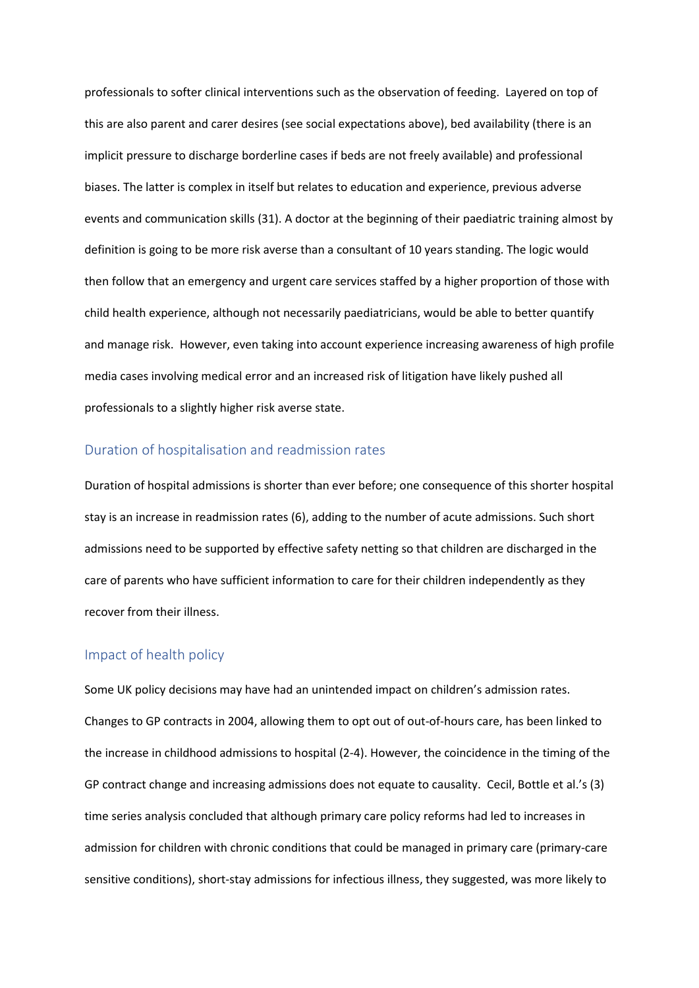professionals to softer clinical interventions such as the observation of feeding. Layered on top of this are also parent and carer desires (see social expectations above), bed availability (there is an implicit pressure to discharge borderline cases if beds are not freely available) and professional biases. The latter is complex in itself but relates to education and experience, previous adverse events and communication skills (31). A doctor at the beginning of their paediatric training almost by definition is going to be more risk averse than a consultant of 10 years standing. The logic would then follow that an emergency and urgent care services staffed by a higher proportion of those with child health experience, although not necessarily paediatricians, would be able to better quantify and manage risk. However, even taking into account experience increasing awareness of high profile media cases involving medical error and an increased risk of litigation have likely pushed all professionals to a slightly higher risk averse state.

# Duration of hospitalisation and readmission rates

Duration of hospital admissions is shorter than ever before; one consequence of this shorter hospital stay is an increase in readmission rates (6), adding to the number of acute admissions. Such short admissions need to be supported by effective safety netting so that children are discharged in the care of parents who have sufficient information to care for their children independently as they recover from their illness.

# Impact of health policy

Some UK policy decisions may have had an unintended impact on children's admission rates. Changes to GP contracts in 2004, allowing them to opt out of out-of-hours care, has been linked to the increase in childhood admissions to hospital (2-4). However, the coincidence in the timing of the GP contract change and increasing admissions does not equate to causality. Cecil, Bottle et al.'s (3) time series analysis concluded that although primary care policy reforms had led to increases in admission for children with chronic conditions that could be managed in primary care (primary-care sensitive conditions), short-stay admissions for infectious illness, they suggested, was more likely to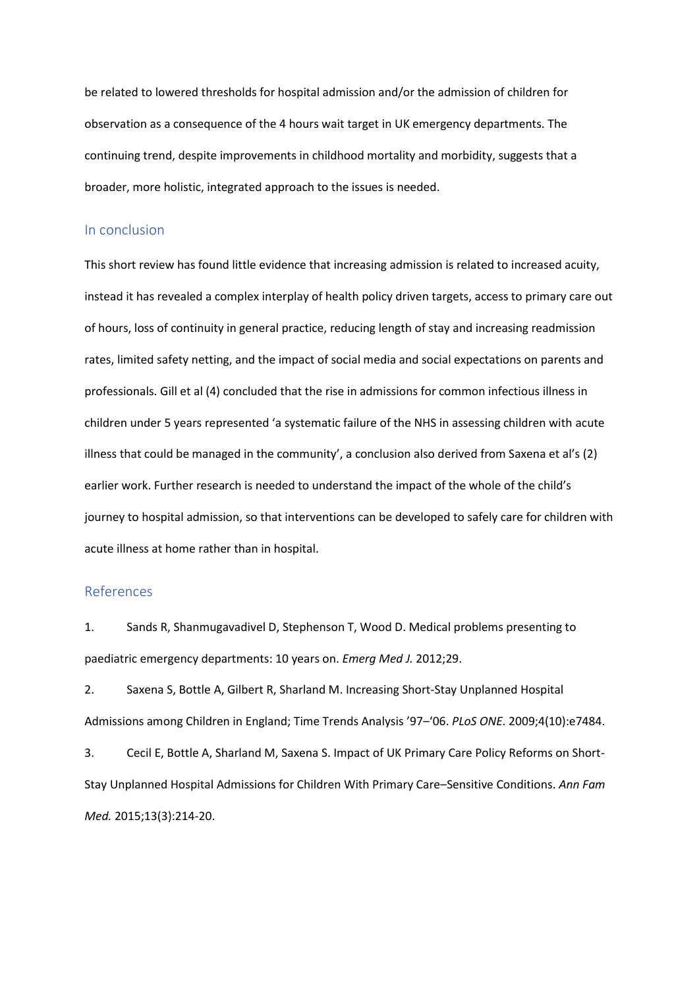be related to lowered thresholds for hospital admission and/or the admission of children for observation as a consequence of the 4 hours wait target in UK emergency departments. The continuing trend, despite improvements in childhood mortality and morbidity, suggests that a broader, more holistic, integrated approach to the issues is needed.

#### In conclusion

This short review has found little evidence that increasing admission is related to increased acuity, instead it has revealed a complex interplay of health policy driven targets, access to primary care out of hours, loss of continuity in general practice, reducing length of stay and increasing readmission rates, limited safety netting, and the impact of social media and social expectations on parents and professionals. Gill et al (4) concluded that the rise in admissions for common infectious illness in children under 5 years represented 'a systematic failure of the NHS in assessing children with acute illness that could be managed in the community', a conclusion also derived from Saxena et al's (2) earlier work. Further research is needed to understand the impact of the whole of the child's journey to hospital admission, so that interventions can be developed to safely care for children with acute illness at home rather than in hospital.

#### References

1. Sands R, Shanmugavadivel D, Stephenson T, Wood D. Medical problems presenting to paediatric emergency departments: 10 years on. *Emerg Med J.* 2012;29.

2. Saxena S, Bottle A, Gilbert R, Sharland M. Increasing Short-Stay Unplanned Hospital Admissions among Children in England; Time Trends Analysis '97–'06. *PLoS ONE*. 2009;4(10):e7484.

3. Cecil E, Bottle A, Sharland M, Saxena S. Impact of UK Primary Care Policy Reforms on Short-Stay Unplanned Hospital Admissions for Children With Primary Care–Sensitive Conditions. *Ann Fam Med.* 2015;13(3):214-20.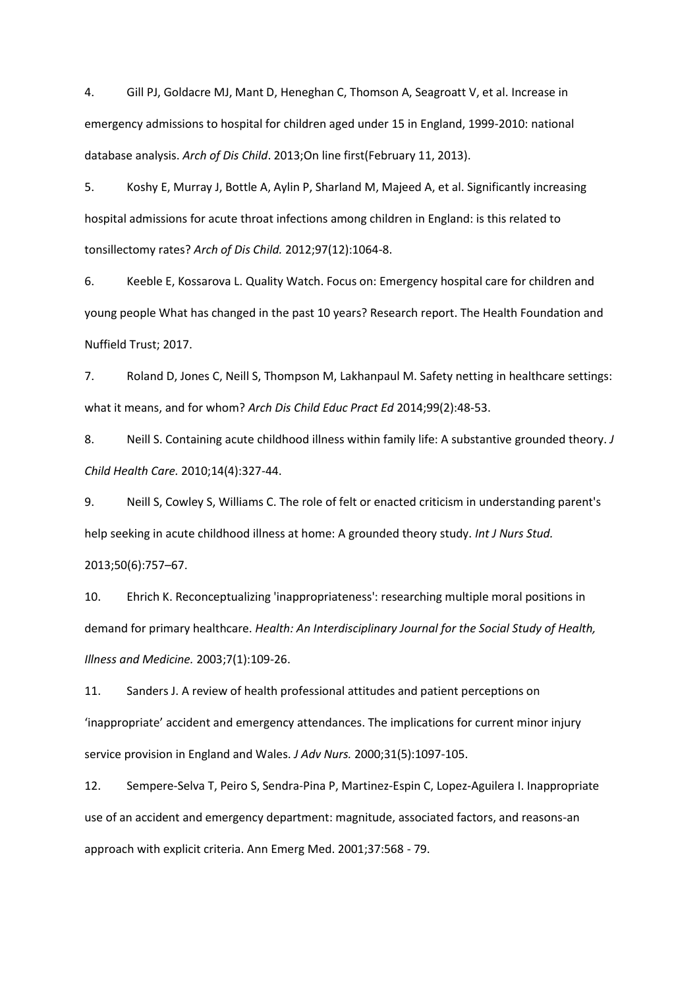4. Gill PJ, Goldacre MJ, Mant D, Heneghan C, Thomson A, Seagroatt V, et al. Increase in emergency admissions to hospital for children aged under 15 in England, 1999-2010: national database analysis. *Arch of Dis Child*. 2013;On line first(February 11, 2013).

5. Koshy E, Murray J, Bottle A, Aylin P, Sharland M, Majeed A, et al. Significantly increasing hospital admissions for acute throat infections among children in England: is this related to tonsillectomy rates? *Arch of Dis Child.* 2012;97(12):1064-8.

6. Keeble E, Kossarova L. Quality Watch. Focus on: Emergency hospital care for children and young people What has changed in the past 10 years? Research report. The Health Foundation and Nuffield Trust; 2017.

7. Roland D, Jones C, Neill S, Thompson M, Lakhanpaul M. Safety netting in healthcare settings: what it means, and for whom? *Arch Dis Child Educ Pract Ed* 2014;99(2):48-53.

8. Neill S. Containing acute childhood illness within family life: A substantive grounded theory. *J Child Health Care.* 2010;14(4):327-44.

9. Neill S, Cowley S, Williams C. The role of felt or enacted criticism in understanding parent's help seeking in acute childhood illness at home: A grounded theory study. *Int J Nurs Stud.*  2013;50(6):757–67.

10. Ehrich K. Reconceptualizing 'inappropriateness': researching multiple moral positions in demand for primary healthcare. *Health: An Interdisciplinary Journal for the Social Study of Health, Illness and Medicine.* 2003;7(1):109-26.

11. Sanders J. A review of health professional attitudes and patient perceptions on 'inappropriate' accident and emergency attendances. The implications for current minor injury service provision in England and Wales. *J Adv Nurs.* 2000;31(5):1097-105.

12. Sempere-Selva T, Peiro S, Sendra-Pina P, Martinez-Espin C, Lopez-Aguilera I. Inappropriate use of an accident and emergency department: magnitude, associated factors, and reasons-an approach with explicit criteria. Ann Emerg Med. 2001;37:568 - 79.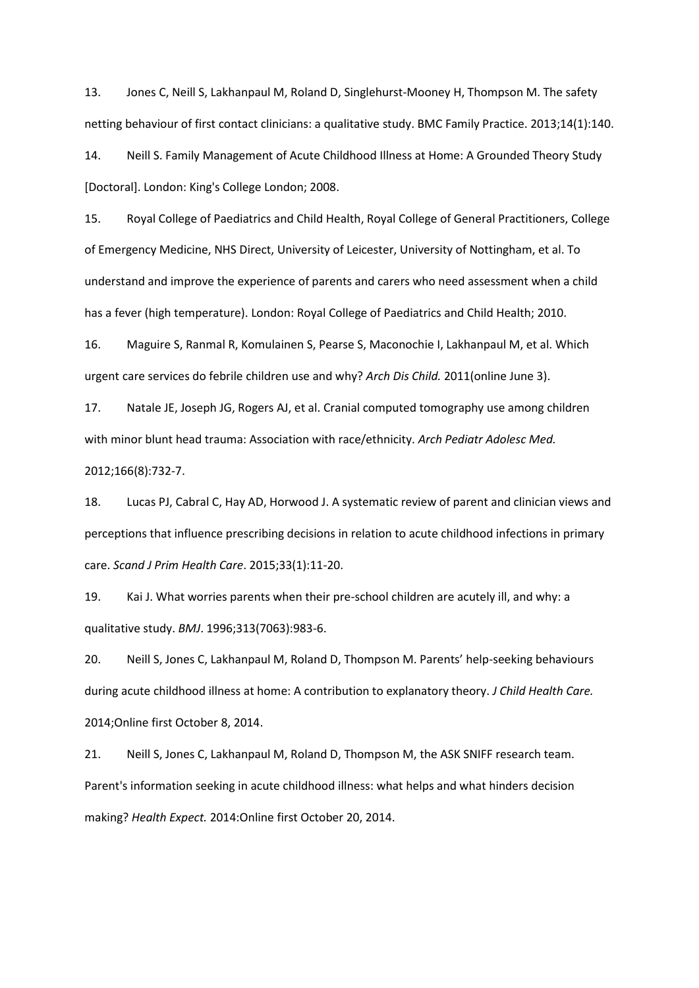13. Jones C, Neill S, Lakhanpaul M, Roland D, Singlehurst-Mooney H, Thompson M. The safety netting behaviour of first contact clinicians: a qualitative study. BMC Family Practice. 2013;14(1):140.

14. Neill S. Family Management of Acute Childhood Illness at Home: A Grounded Theory Study [Doctoral]. London: King's College London; 2008.

15. Royal College of Paediatrics and Child Health, Royal College of General Practitioners, College of Emergency Medicine, NHS Direct, University of Leicester, University of Nottingham, et al. To understand and improve the experience of parents and carers who need assessment when a child has a fever (high temperature). London: Royal College of Paediatrics and Child Health; 2010.

16. Maguire S, Ranmal R, Komulainen S, Pearse S, Maconochie I, Lakhanpaul M, et al. Which urgent care services do febrile children use and why? *Arch Dis Child.* 2011(online June 3).

17. Natale JE, Joseph JG, Rogers AJ, et al. Cranial computed tomography use among children with minor blunt head trauma: Association with race/ethnicity. *Arch Pediatr Adolesc Med.* 2012;166(8):732-7.

18. Lucas PJ, Cabral C, Hay AD, Horwood J. A systematic review of parent and clinician views and perceptions that influence prescribing decisions in relation to acute childhood infections in primary care. *Scand J Prim Health Care*. 2015;33(1):11-20.

19. Kai J. What worries parents when their pre-school children are acutely ill, and why: a qualitative study. *BMJ*. 1996;313(7063):983-6.

20. Neill S, Jones C, Lakhanpaul M, Roland D, Thompson M. Parents' help-seeking behaviours during acute childhood illness at home: A contribution to explanatory theory. *J Child Health Care.* 2014;Online first October 8, 2014.

21. Neill S, Jones C, Lakhanpaul M, Roland D, Thompson M, the ASK SNIFF research team. Parent's information seeking in acute childhood illness: what helps and what hinders decision making? *Health Expect.* 2014:Online first October 20, 2014.